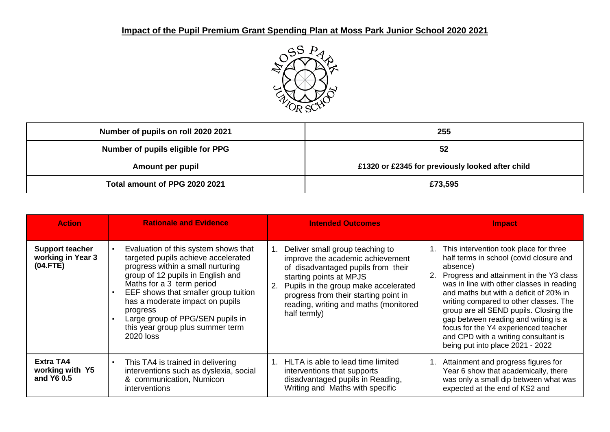

| Number of pupils on roll 2020 2021                                   | 255     |
|----------------------------------------------------------------------|---------|
| Number of pupils eligible for PPG                                    | 52      |
| £1320 or £2345 for previously looked after child<br>Amount per pupil |         |
| Total amount of PPG 2020 2021                                        | £73,595 |

| <b>Action</b>                                           | <b>Rationale and Evidence</b>                                                                                                                                                                                                                                                                                                                                         | <b>Intended Outcomes</b>                                                                                                                                                                                                                                                       | <b>Impact</b>                                                                                                                                                                                                                                                                                                                                                                                                                                                                      |  |
|---------------------------------------------------------|-----------------------------------------------------------------------------------------------------------------------------------------------------------------------------------------------------------------------------------------------------------------------------------------------------------------------------------------------------------------------|--------------------------------------------------------------------------------------------------------------------------------------------------------------------------------------------------------------------------------------------------------------------------------|------------------------------------------------------------------------------------------------------------------------------------------------------------------------------------------------------------------------------------------------------------------------------------------------------------------------------------------------------------------------------------------------------------------------------------------------------------------------------------|--|
| <b>Support teacher</b><br>working in Year 3<br>(04.FTE) | Evaluation of this system shows that<br>targeted pupils achieve accelerated<br>progress within a small nurturing<br>group of 12 pupils in English and<br>Maths for a 3 term period<br>EEF shows that smaller group tuition<br>has a moderate impact on pupils<br>progress<br>Large group of PPG/SEN pupils in<br>this year group plus summer term<br><b>2020 loss</b> | Deliver small group teaching to<br>improve the academic achievement<br>of disadvantaged pupils from their<br>starting points at MPJS<br>Pupils in the group make accelerated<br>progress from their starting point in<br>reading, writing and maths (monitored<br>half termly) | 1. This intervention took place for three<br>half terms in school (covid closure and<br>absence)<br>Progress and attainment in the Y3 class<br>was in line with other classes in reading<br>and maths but with a deficit of 20% in<br>writing compared to other classes. The<br>group are all SEND pupils. Closing the<br>gap between reading and writing is a<br>focus for the Y4 experienced teacher<br>and CPD with a writing consultant is<br>being put into place 2021 - 2022 |  |
| Extra TA4<br>working with Y5<br>and Y6 0.5              | This TA4 is trained in delivering<br>$\blacksquare$<br>interventions such as dyslexia, social<br>& communication, Numicon<br><i>interventions</i>                                                                                                                                                                                                                     | HLTA is able to lead time limited<br>interventions that supports<br>disadvantaged pupils in Reading,<br>Writing and Maths with specific                                                                                                                                        | 1. Attainment and progress figures for<br>Year 6 show that academically, there<br>was only a small dip between what was<br>expected at the end of KS2 and                                                                                                                                                                                                                                                                                                                          |  |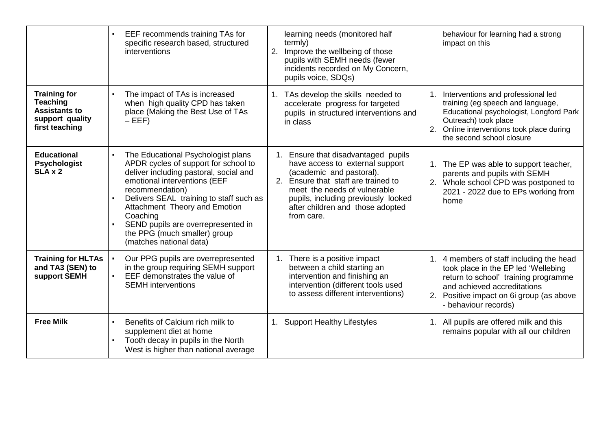|                                                                                                     | EEF recommends training TAs for<br>specific research based, structured<br>interventions                                                                                                                                                                                                                                                                          | learning needs (monitored half<br>termly)<br>2. Improve the wellbeing of those<br>pupils with SEMH needs (fewer<br>incidents recorded on My Concern,<br>pupils voice, SDQs)                                                                                        | behaviour for learning had a strong<br>impact on this                                                                                                                                                                      |
|-----------------------------------------------------------------------------------------------------|------------------------------------------------------------------------------------------------------------------------------------------------------------------------------------------------------------------------------------------------------------------------------------------------------------------------------------------------------------------|--------------------------------------------------------------------------------------------------------------------------------------------------------------------------------------------------------------------------------------------------------------------|----------------------------------------------------------------------------------------------------------------------------------------------------------------------------------------------------------------------------|
| <b>Training for</b><br><b>Teaching</b><br><b>Assistants to</b><br>support quality<br>first teaching | The impact of TAs is increased<br>when high quality CPD has taken<br>place (Making the Best Use of TAs<br>$-EEF$                                                                                                                                                                                                                                                 | TAs develop the skills needed to<br>1.<br>accelerate progress for targeted<br>pupils in structured interventions and<br>in class                                                                                                                                   | 1. Interventions and professional led<br>training (eg speech and language,<br>Educational psychologist, Longford Park<br>Outreach) took place<br>2. Online interventions took place during<br>the second school closure    |
| <b>Educational</b><br><b>Psychologist</b><br>SLA x 2                                                | The Educational Psychologist plans<br>APDR cycles of support for school to<br>deliver including pastoral, social and<br>emotional interventions (EEF<br>recommendation)<br>Delivers SEAL training to staff such as<br>Attachment Theory and Emotion<br>Coaching<br>SEND pupils are overrepresented in<br>the PPG (much smaller) group<br>(matches national data) | 1. Ensure that disadvantaged pupils<br>have access to external support<br>(academic and pastoral).<br>2. Ensure that staff are trained to<br>meet the needs of vulnerable<br>pupils, including previously looked<br>after children and those adopted<br>from care. | 1. The EP was able to support teacher,<br>parents and pupils with SEMH<br>2. Whole school CPD was postponed to<br>2021 - 2022 due to EPs working from<br>home                                                              |
| <b>Training for HLTAs</b><br>and TA3 (SEN) to<br>support SEMH                                       | Our PPG pupils are overrepresented<br>in the group requiring SEMH support<br>EEF demonstrates the value of<br><b>SEMH</b> interventions                                                                                                                                                                                                                          | 1. There is a positive impact<br>between a child starting an<br>intervention and finishing an<br>intervention (different tools used<br>to assess different interventions)                                                                                          | 1. 4 members of staff including the head<br>took place in the EP led 'Wellebing<br>return to school' training programme<br>and achieved accreditations<br>2. Positive impact on 6i group (as above<br>- behaviour records) |
| <b>Free Milk</b>                                                                                    | Benefits of Calcium rich milk to<br>supplement diet at home<br>Tooth decay in pupils in the North<br>West is higher than national average                                                                                                                                                                                                                        | <b>Support Healthy Lifestyles</b><br>1.                                                                                                                                                                                                                            | 1. All pupils are offered milk and this<br>remains popular with all our children                                                                                                                                           |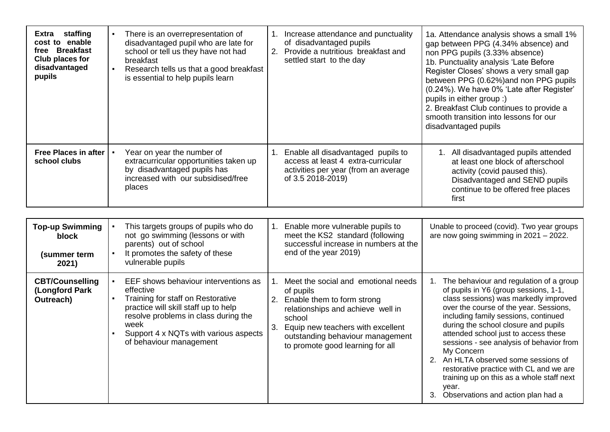| Extra staffing<br>cost to enable<br>free Breakfast<br>Club places for<br>disadvantaged<br>pupils | There is an overrepresentation of<br>disadvantaged pupil who are late for<br>school or tell us they have not had<br>breakfast<br>Research tells us that a good breakfast<br>is essential to help pupils learn                                      | 1. Increase attendance and punctuality<br>of disadvantaged pupils<br>2. Provide a nutritious breakfast and<br>settled start to the day                                                                                                                    | 1a. Attendance analysis shows a small 1%<br>gap between PPG (4.34% absence) and<br>non PPG pupils (3.33% absence)<br>1b. Punctuality analysis 'Late Before<br>Register Closes' shows a very small gap<br>between PPG (0.62%) and non PPG pupils<br>(0.24%). We have 0% 'Late after Register'<br>pupils in either group :)<br>2. Breakfast Club continues to provide a<br>smooth transition into lessons for our<br>disadvantaged pupils                                                                                                    |
|--------------------------------------------------------------------------------------------------|----------------------------------------------------------------------------------------------------------------------------------------------------------------------------------------------------------------------------------------------------|-----------------------------------------------------------------------------------------------------------------------------------------------------------------------------------------------------------------------------------------------------------|--------------------------------------------------------------------------------------------------------------------------------------------------------------------------------------------------------------------------------------------------------------------------------------------------------------------------------------------------------------------------------------------------------------------------------------------------------------------------------------------------------------------------------------------|
| Free Places in after<br>school clubs                                                             | Year on year the number of<br>extracurricular opportunities taken up<br>by disadvantaged pupils has<br>increased with our subsidised/free<br>places                                                                                                | Enable all disadvantaged pupils to<br>1.<br>access at least 4 extra-curricular<br>activities per year (from an average<br>of 3.5 2018-2019)                                                                                                               | 1. All disadvantaged pupils attended<br>at least one block of afterschool<br>activity (covid paused this).<br>Disadvantaged and SEND pupils<br>continue to be offered free places<br>first                                                                                                                                                                                                                                                                                                                                                 |
|                                                                                                  |                                                                                                                                                                                                                                                    |                                                                                                                                                                                                                                                           |                                                                                                                                                                                                                                                                                                                                                                                                                                                                                                                                            |
| <b>Top-up Swimming</b><br>block                                                                  | This targets groups of pupils who do<br>not go swimming (lessons or with<br>parents) out of school                                                                                                                                                 | Enable more vulnerable pupils to<br>1.<br>meet the KS2 standard (following<br>successful increase in numbers at the                                                                                                                                       | Unable to proceed (covid). Two year groups<br>are now going swimming in $2021 - 2022$ .                                                                                                                                                                                                                                                                                                                                                                                                                                                    |
| (summer term<br>2021)                                                                            | It promotes the safety of these<br>vulnerable pupils                                                                                                                                                                                               | end of the year 2019)                                                                                                                                                                                                                                     |                                                                                                                                                                                                                                                                                                                                                                                                                                                                                                                                            |
| <b>CBT/Counselling</b><br>(Longford Park<br>Outreach)                                            | EEF shows behaviour interventions as<br>effective<br>Training for staff on Restorative<br>practice will skill staff up to help<br>resolve problems in class during the<br>week<br>Support 4 x NQTs with various aspects<br>of behaviour management | Meet the social and emotional needs<br>1.<br>of pupils<br>2. Enable them to form strong<br>relationships and achieve well in<br>school<br>3.<br>Equip new teachers with excellent<br>outstanding behaviour management<br>to promote good learning for all | 1. The behaviour and regulation of a group<br>of pupils in Y6 (group sessions, 1-1,<br>class sessions) was markedly improved<br>over the course of the year. Sessions,<br>including family sessions, continued<br>during the school closure and pupils<br>attended school just to access these<br>sessions - see analysis of behavior from<br>My Concern<br>2. An HLTA observed some sessions of<br>restorative practice with CL and we are<br>training up on this as a whole staff next<br>year.<br>3. Observations and action plan had a |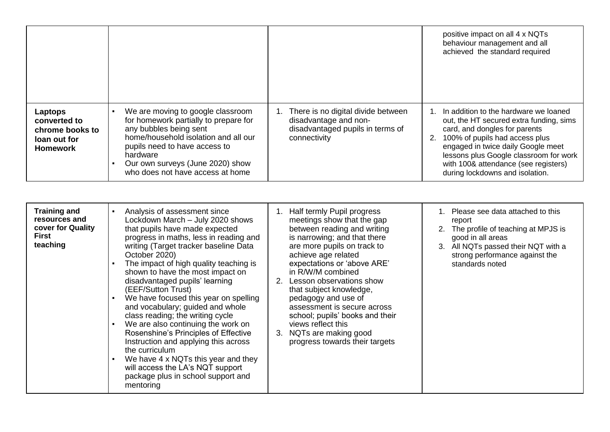|                                                                               |                                                                                                                                                                                                                                                                   |                                                                                                                    | positive impact on all 4 x NQTs<br>behaviour management and all<br>achieved the standard required                                                                                                                                                                                                                    |
|-------------------------------------------------------------------------------|-------------------------------------------------------------------------------------------------------------------------------------------------------------------------------------------------------------------------------------------------------------------|--------------------------------------------------------------------------------------------------------------------|----------------------------------------------------------------------------------------------------------------------------------------------------------------------------------------------------------------------------------------------------------------------------------------------------------------------|
| Laptops<br>converted to<br>chrome books to<br>loan out for<br><b>Homework</b> | We are moving to google classroom<br>for homework partially to prepare for<br>any bubbles being sent<br>home/household isolation and all our<br>pupils need to have access to<br>hardware<br>Our own surveys (June 2020) show<br>who does not have access at home | 1. There is no digital divide between<br>disadvantage and non-<br>disadvantaged pupils in terms of<br>connectivity | In addition to the hardware we loaned<br>out, the HT secured extra funding, sims<br>card, and dongles for parents<br>100% of pupils had access plus<br>2.<br>engaged in twice daily Google meet<br>lessons plus Google classroom for work<br>with 100& attendance (see registers)<br>during lockdowns and isolation. |

| <b>Training and</b><br>resources and<br>cover for Quality<br><b>First</b><br>teaching | Analysis of assessment since<br>Lockdown March - July 2020 shows<br>that pupils have made expected<br>progress in maths, less in reading and<br>writing (Target tracker baseline Data<br>October 2020)<br>The impact of high quality teaching is<br>shown to have the most impact on<br>disadvantaged pupils' learning<br>(EEF/Sutton Trust)<br>We have focused this year on spelling<br>and vocabulary; guided and whole<br>class reading; the writing cycle<br>We are also continuing the work on<br>Rosenshine's Principles of Effective<br>Instruction and applying this across<br>the curriculum<br>We have 4 x NQTs this year and they<br>will access the LA's NQT support<br>package plus in school support and<br>mentoring | Half termly Pupil progress<br>meetings show that the gap<br>between reading and writing<br>is narrowing; and that there<br>are more pupils on track to<br>achieve age related<br>expectations or 'above ARE'<br>in R/W/M combined<br>2. Lesson observations show<br>that subject knowledge,<br>pedagogy and use of<br>assessment is secure across<br>school; pupils' books and their<br>views reflect this<br>3. NQTs are making good<br>progress towards their targets | 1. Please see data attached to this<br>report<br>2. The profile of teaching at MPJS is<br>good in all areas<br>3. All NQTs passed their NQT with a<br>strong performance against the<br>standards noted |
|---------------------------------------------------------------------------------------|-------------------------------------------------------------------------------------------------------------------------------------------------------------------------------------------------------------------------------------------------------------------------------------------------------------------------------------------------------------------------------------------------------------------------------------------------------------------------------------------------------------------------------------------------------------------------------------------------------------------------------------------------------------------------------------------------------------------------------------|-------------------------------------------------------------------------------------------------------------------------------------------------------------------------------------------------------------------------------------------------------------------------------------------------------------------------------------------------------------------------------------------------------------------------------------------------------------------------|---------------------------------------------------------------------------------------------------------------------------------------------------------------------------------------------------------|
|---------------------------------------------------------------------------------------|-------------------------------------------------------------------------------------------------------------------------------------------------------------------------------------------------------------------------------------------------------------------------------------------------------------------------------------------------------------------------------------------------------------------------------------------------------------------------------------------------------------------------------------------------------------------------------------------------------------------------------------------------------------------------------------------------------------------------------------|-------------------------------------------------------------------------------------------------------------------------------------------------------------------------------------------------------------------------------------------------------------------------------------------------------------------------------------------------------------------------------------------------------------------------------------------------------------------------|---------------------------------------------------------------------------------------------------------------------------------------------------------------------------------------------------------|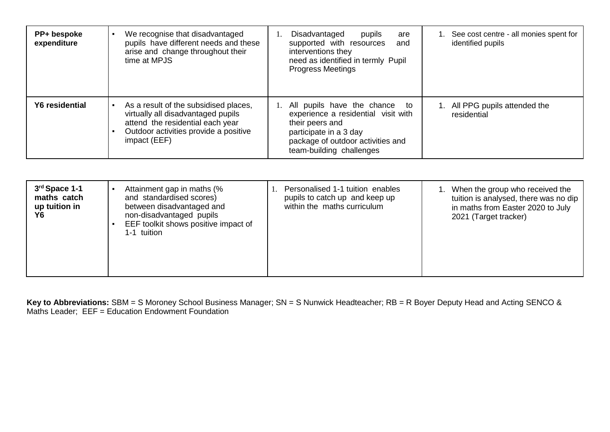| PP+ bespoke<br>expenditure | We recognise that disadvantaged<br>pupils have different needs and these<br>arise and change throughout their<br>time at MPJS                                            | Disadvantaged<br>pupils<br>are<br>supported with resources<br>and<br>interventions they<br>need as identified in termly Pupil<br><b>Progress Meetings</b>                                | 1. See cost centre - all monies spent for<br>identified pupils |
|----------------------------|--------------------------------------------------------------------------------------------------------------------------------------------------------------------------|------------------------------------------------------------------------------------------------------------------------------------------------------------------------------------------|----------------------------------------------------------------|
| Y6 residential             | As a result of the subsidised places,<br>virtually all disadvantaged pupils<br>attend the residential each year<br>Outdoor activities provide a positive<br>impact (EEF) | 1. All pupils have the chance<br>to<br>experience a residential visit with<br>their peers and<br>participate in a 3 day<br>package of outdoor activities and<br>team-building challenges | 1. All PPG pupils attended the<br>residential                  |

| 3rd Space 1-1<br>maths catch<br>up tuition in<br>Υ6 | Attainment gap in maths (%<br>and standardised scores)<br>between disadvantaged and<br>non-disadvantaged pupils<br>EEF toolkit shows positive impact of<br>1-1 tuition | Personalised 1-1 tuition enables<br>pupils to catch up and keep up<br>within the maths curriculum | 1. When the group who received the<br>tuition is analysed, there was no dip<br>in maths from Easter 2020 to July<br>2021 (Target tracker) |
|-----------------------------------------------------|------------------------------------------------------------------------------------------------------------------------------------------------------------------------|---------------------------------------------------------------------------------------------------|-------------------------------------------------------------------------------------------------------------------------------------------|
|-----------------------------------------------------|------------------------------------------------------------------------------------------------------------------------------------------------------------------------|---------------------------------------------------------------------------------------------------|-------------------------------------------------------------------------------------------------------------------------------------------|

**Key to Abbreviations:** SBM = S Moroney School Business Manager; SN = S Nunwick Headteacher; RB = R Boyer Deputy Head and Acting SENCO & Maths Leader; EEF = Education Endowment Foundation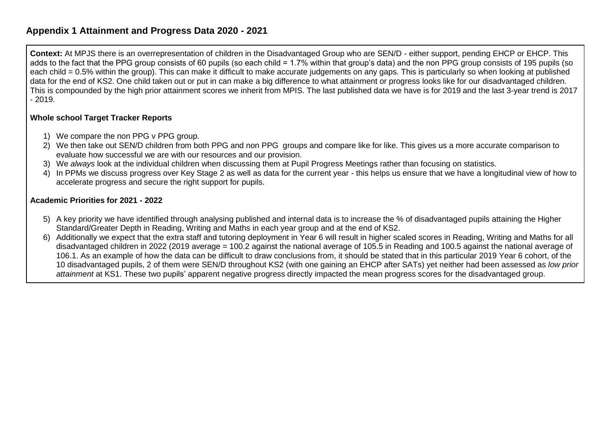## **Appendix 1 Attainment and Progress Data 2020 - 2021**

**Context:** At MPJS there is an overrepresentation of children in the Disadvantaged Group who are SEN/D - either support, pending EHCP or EHCP. This adds to the fact that the PPG group consists of 60 pupils (so each child = 1.7% within that group's data) and the non PPG group consists of 195 pupils (so each child = 0.5% within the group). This can make it difficult to make accurate judgements on any gaps. This is particularly so when looking at published data for the end of KS2. One child taken out or put in can make a big difference to what attainment or progress looks like for our disadvantaged children. This is compounded by the high prior attainment scores we inherit from MPIS. The last published data we have is for 2019 and the last 3-year trend is 2017 - 2019.

### **Whole school Target Tracker Reports**

- 1) We compare the non PPG v PPG group.
- 2) We then take out SEN/D children from both PPG and non PPG groups and compare like for like. This gives us a more accurate comparison to evaluate how successful we are with our resources and our provision.
- 3) We *always* look at the individual children when discussing them at Pupil Progress Meetings rather than focusing on statistics.
- 4) In PPMs we discuss progress over Key Stage 2 as well as data for the current year this helps us ensure that we have a longitudinal view of how to accelerate progress and secure the right support for pupils.

### **Academic Priorities for 2021 - 2022**

- 5) A key priority we have identified through analysing published and internal data is to increase the % of disadvantaged pupils attaining the Higher Standard/Greater Depth in Reading, Writing and Maths in each year group and at the end of KS2.
- 6) Additionally we expect that the extra staff and tutoring deployment in Year 6 will result in higher scaled scores in Reading, Writing and Maths for all disadvantaged children in 2022 (2019 average = 100.2 against the national average of 105.5 in Reading and 100.5 against the national average of 106.1. As an example of how the data can be difficult to draw conclusions from, it should be stated that in this particular 2019 Year 6 cohort, of the 10 disadvantaged pupils, 2 of them were SEN/D throughout KS2 (with one gaining an EHCP after SATs) yet neither had been assessed as *low prior attainment* at KS1. These two pupils' apparent negative progress directly impacted the mean progress scores for the disadvantaged group.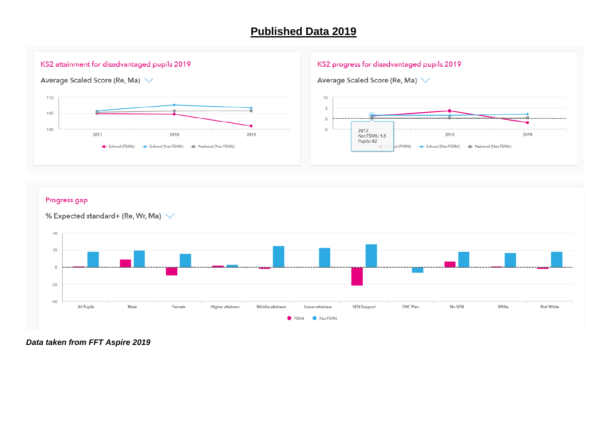## **Published Data 2019**

### KS2 attainment for disadvantaged pupils 2019

Average Scaled Score (Re, Ma) V



#### KS2 progress for disadvantaged pupils 2019





## Progress gap

#### % Expected standard+ (Re, Wr, Ma)  $\vee$



*Data taken from FFT Aspire 2019*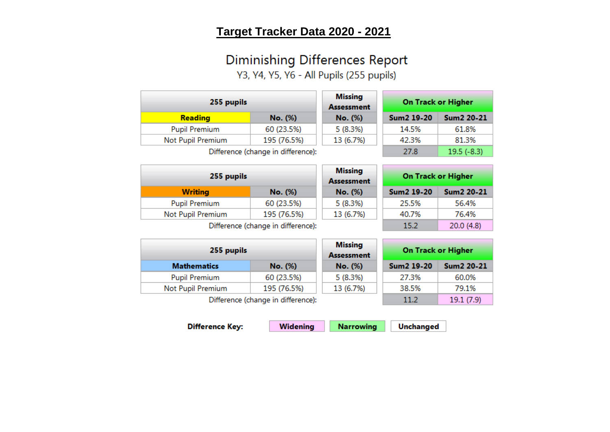# Target Tracker Data 2020 - 2021

# **Diminishing Differences Report**

Y3, Y4, Y5, Y6 - All Pupils (255 pupils)

| 255 pupils                                    |            | <b>Missing</b><br><b>Assessment</b> | <b>On Track or Higher</b> |                        |
|-----------------------------------------------|------------|-------------------------------------|---------------------------|------------------------|
| <b>Reading</b>                                | No. (%)    | No. (%)                             | Sum <sub>2</sub> 19-20    | Sum <sub>2</sub> 20-21 |
| <b>Pupil Premium</b>                          | 60 (23.5%) | 5(8.3%)                             | 14.5%                     | 61.8%                  |
| Not Pupil Premium<br>195 (76.5%)<br>13 (6.7%) |            | 42.3%                               | 81.3%                     |                        |
| Difference (change in difference):            |            |                                     | 27.8                      | $19.5(-8.3)$           |

| 255 pupils           |                                    | <b>Missing</b><br><b>Assessment</b> |            | <b>On Track or Higher</b> |
|----------------------|------------------------------------|-------------------------------------|------------|---------------------------|
| <b>Writing</b>       | No. (%)                            | No. (%)                             | Sum2 19-20 | <b>Sum2 20-21</b>         |
| <b>Pupil Premium</b> | 60 (23.5%)                         | 5(8.3%)                             | 25.5%      | 56.4%                     |
| Not Pupil Premium    | 195 (76.5%)                        | 13 (6.7%)                           | 40.7%      | 76.4%                     |
|                      | Difference (change in difference): |                                     | 15.2       | 20.0 (4.8)                |

**Difference** 

255 pupils

**Mathematics** 

**Pupil Premium** 

Not Pupil Premium

|                           | $- -  - -$ |  |
|---------------------------|------------|--|
| e (change in difference): |            |  |

No. (%)

60 (23.5%)

195 (76.5%)

|    | <b>Missing</b><br><b>Assessment</b> | <b>On Track or Higher</b> |                   |  |
|----|-------------------------------------|---------------------------|-------------------|--|
|    | No. (%)                             | <b>Sum2 19-20</b>         | <b>Sum2 20-21</b> |  |
|    | 5(8.3%)                             | 27.3%                     | 60.0%             |  |
|    | 13 (6.7%)                           | 38.5%                     | 79.1%             |  |
| ۱. |                                     | 11.2                      | 19.1(7.9)         |  |

Difference (change in difference

**Difference Key: Widening Narrowing** 

**Unchanged**